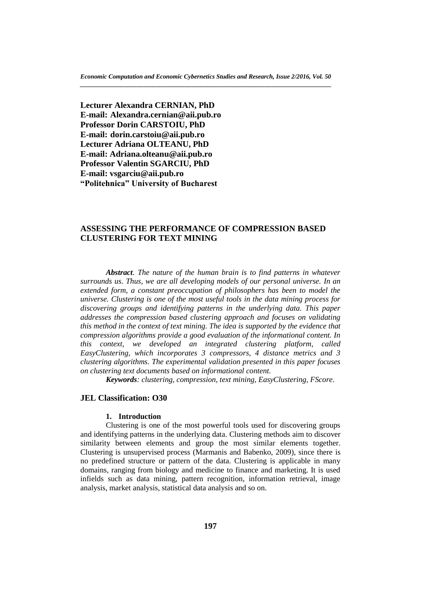**Lecturer Alexandra CERNIAN, PhD E-mail: Alexandra.cernian@aii.pub.ro Professor Dorin CARSTOIU, PhD E-mail: dorin.carstoiu@aii.pub.ro Lecturer Adriana OLTEANU, PhD E-mail: Adriana.olteanu@aii.pub.ro Professor Valentin SGARCIU, PhD E-mail: vsgarciu@aii.pub.ro "Politehnica" University of Bucharest**

# **ASSESSING THE PERFORMANCE OF COMPRESSION BASED CLUSTERING FOR TEXT MINING**

*Abstract. The nature of the human brain is to find patterns in whatever surrounds us. Thus, we are all developing models of our personal universe. In an extended form, a constant preoccupation of philosophers has been to model the universe. Clustering is one of the most useful tools in the data mining process for discovering groups and identifying patterns in the underlying data. This paper addresses the compression based clustering approach and focuses on validating this method in the context of text mining. The idea is supported by the evidence that compression algorithms provide a good evaluation of the informational content. In this context, we developed an integrated clustering platform, called EasyClustering, which incorporates 3 compressors, 4 distance metrics and 3 clustering algorithms. The experimental validation presented in this paper focuses on clustering text documents based on informational content.* 

*Keywords: clustering, compression, text mining, EasyClustering, FScore.*

# **JEL Classification: O30**

### **1. Introduction**

Clustering is one of the most powerful tools used for discovering groups and identifying patterns in the underlying data. Clustering methods aim to discover similarity between elements and group the most similar elements together. Clustering is unsupervised process (Marmanis and Babenko, 2009), since there is no predefined structure or pattern of the data. Clustering is applicable in many domains, ranging from biology and medicine to finance and marketing. It is used infields such as data mining, pattern recognition, information retrieval, image analysis, market analysis, statistical data analysis and so on.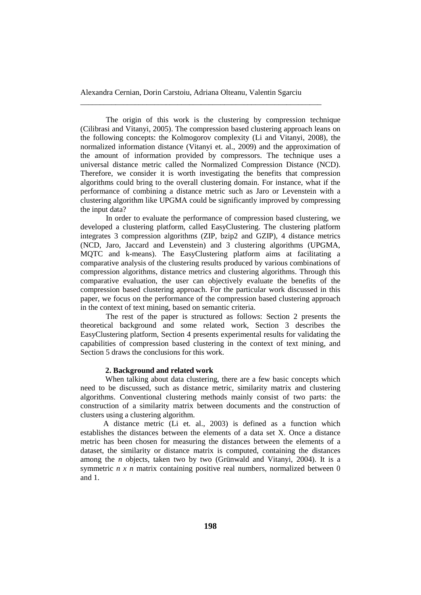\_\_\_\_\_\_\_\_\_\_\_\_\_\_\_\_\_\_\_\_\_\_\_\_\_\_\_\_\_\_\_\_\_\_\_\_\_\_\_\_\_\_\_\_\_\_\_\_\_\_\_\_\_\_\_\_\_\_\_\_\_\_

The origin of this work is the clustering by compression technique (Cilibrasi and Vitanyi, 2005). The compression based clustering approach leans on the following concepts: the Kolmogorov complexity (Li and Vitanyi, 2008), the normalized information distance (Vitanyi et. al., 2009) and the approximation of the amount of information provided by compressors. The technique uses a universal distance metric called the Normalized Compression Distance (NCD). Therefore, we consider it is worth investigating the benefits that compression algorithms could bring to the overall clustering domain. For instance, what if the performance of combining a distance metric such as Jaro or Levenstein with a clustering algorithm like UPGMA could be significantly improved by compressing the input data?

In order to evaluate the performance of compression based clustering, we developed a clustering platform, called EasyClustering. The clustering platform integrates 3 compression algorithms (ZIP, bzip2 and GZIP), 4 distance metrics (NCD, Jaro, Jaccard and Levenstein) and 3 clustering algorithms (UPGMA, MQTC and k-means). The EasyClustering platform aims at facilitating a comparative analysis of the clustering results produced by various combinations of compression algorithms, distance metrics and clustering algorithms. Through this comparative evaluation, the user can objectively evaluate the benefits of the compression based clustering approach. For the particular work discussed in this paper, we focus on the performance of the compression based clustering approach in the context of text mining, based on semantic criteria.

The rest of the paper is structured as follows: Section 2 presents the theoretical background and some related work, Section 3 describes the EasyClustering platform, Section 4 presents experimental results for validating the capabilities of compression based clustering in the context of text mining, and Section 5 draws the conclusions for this work.

### **2. Background and related work**

When talking about data clustering, there are a few basic concepts which need to be discussed, such as distance metric, similarity matrix and clustering algorithms. Conventional clustering methods mainly consist of two parts: the construction of a similarity matrix between documents and the construction of clusters using a clustering algorithm.

A distance metric (Li et. al., 2003) is defined as a function which establishes the distances between the elements of a data set X. Once a distance metric has been chosen for measuring the distances between the elements of a dataset, the similarity or distance matrix is computed, containing the distances among the *n* objects, taken two by two (Grünwald and Vitanyi, 2004). It is a symmetric *n x n* matrix containing positive real numbers, normalized between 0 and 1.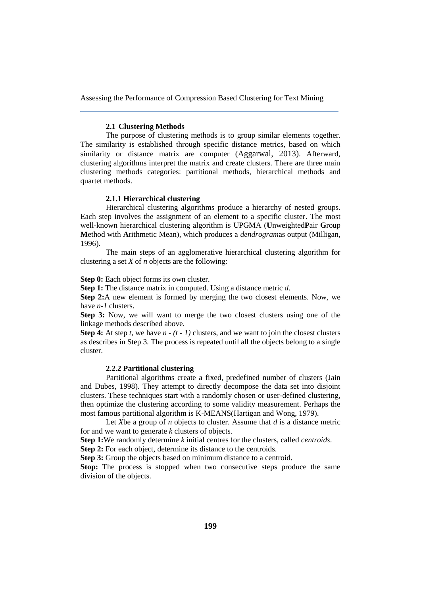#### **2.1 Clustering Methods**

The purpose of clustering methods is to group similar elements together. The similarity is established through specific distance metrics, based on which similarity or distance matrix are computer (Aggarwal, 2013). Afterward, clustering algorithms interpret the matrix and create clusters. There are three main clustering methods categories: partitional methods, hierarchical methods and quartet methods.

### **2.1.1 Hierarchical clustering**

Hierarchical clustering algorithms produce a hierarchy of nested groups. Each step involves the assignment of an element to a specific cluster. The most well-known hierarchical clustering algorithm is UPGMA (**U**nweighted**P**air **G**roup **M**ethod with **A**rithmetic Mean), which produces a *dendrogram*as output (Milligan, 1996).

The main steps of an agglomerative hierarchical clustering algorithm for clustering a set *X* of *n* objects are the following:

**Step 0:** Each object forms its own cluster.

**Step 1:** The distance matrix in computed. Using a distance metric *d*.

**Step 2:**A new element is formed by merging the two closest elements. Now, we have *n-1* clusters.

**Step 3:** Now, we will want to merge the two closest clusters using one of the linkage methods described above.

**Step 4:** At step *t,* we have *n - (t - 1)* clusters, and we want to join the closest clusters as describes in Step 3. The process is repeated until all the objects belong to a single cluster.

### **2.2.2 Partitional clustering**

Partitional algorithms create a fixed, predefined number of clusters (Jain and Dubes, 1998). They attempt to directly decompose the data set into disjoint clusters. These techniques start with a randomly chosen or user-defined clustering, then optimize the clustering according to some validity measurement. Perhaps the most famous partitional algorithm is K-MEANS(Hartigan and Wong, 1979).

Let *X*be a group of *n* objects to cluster. Assume that *d* is a distance metric for and we want to generate *k* clusters of objects.

**Step 1:**We randomly determine *k* initial centres for the clusters, called *centroids*.

**Step 2:** For each object, determine its distance to the centroids.

**Step 3:** Group the objects based on minimum distance to a centroid.

**Stop:** The process is stopped when two consecutive steps produce the same division of the objects.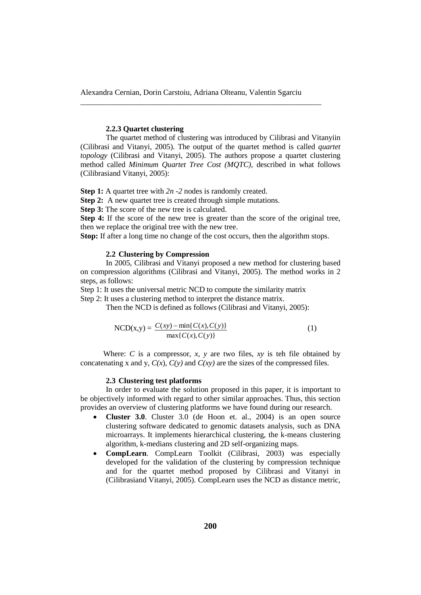\_\_\_\_\_\_\_\_\_\_\_\_\_\_\_\_\_\_\_\_\_\_\_\_\_\_\_\_\_\_\_\_\_\_\_\_\_\_\_\_\_\_\_\_\_\_\_\_\_\_\_\_\_\_\_\_\_\_\_\_\_\_

### **2.2.3 Quartet clustering**

The quartet method of clustering was introduced by Cilibrasi and Vitanyiin (Cilibrasi and Vitanyi, 2005). The output of the quartet method is called *quartet topology* (Cilibrasi and Vitanyi, 2005). The authors propose a quartet clustering method called *Minimum Quartet Tree Cost (MQTC),* described in what follows (Cilibrasiand Vitanyi, 2005):

**Step 1:** A quartet tree with 2n -2 nodes is randomly created.

**Step 2:** A new quartet tree is created through simple mutations.

**Step 3:** The score of the new tree is calculated.

**Step 4:** If the score of the new tree is greater than the score of the original tree, then we replace the original tree with the new tree.

**Stop:** If after a long time no change of the cost occurs, then the algorithm stops.

# **2.2 Clustering by Compression**

In 2005, Cilibrasi and Vitanyi proposed a new method for clustering based on compression algorithms (Cilibrasi and Vitanyi, 2005). The method works in 2 steps, as follows:

Step 1: It uses the universal metric NCD to compute the similarity matrix Step 2: It uses a clustering method to interpret the distance matrix.

Then the NCD is defined as follows (Cilibrasi and Vitanyi, 2005):

$$
NCD(x,y) = \frac{C(xy) - \min\{C(x), C(y)\}}{\max\{C(x), C(y)\}}
$$
(1)

Where: *C* is a compressor, *x, y* are two files, *xy* is teh file obtained by concatenating x and y,  $C(x)$ ,  $C(y)$  and  $C(xy)$  are the sizes of the compressed files.

#### **2.3 Clustering test platforms**

In order to evaluate the solution proposed in this paper, it is important to be objectively informed with regard to other similar approaches. Thus, this section provides an overview of clustering platforms we have found during our research.

- **Cluster 3.0**. Cluster 3.0 (de Hoon et. al., 2004) is an open source clustering software dedicated to genomic datasets analysis, such as DNA microarrays. It implements hierarchical clustering, the k-means clustering algorithm, k-medians clustering and 2D self-organizing maps.
- **CompLearn**. CompLearn Toolkit (Cilibrasi, 2003) was especially developed for the validation of the clustering by compression technique and for the quartet method proposed by Cilibrasi and Vitanyi in (Cilibrasiand Vitanyi, 2005). CompLearn uses the NCD as distance metric,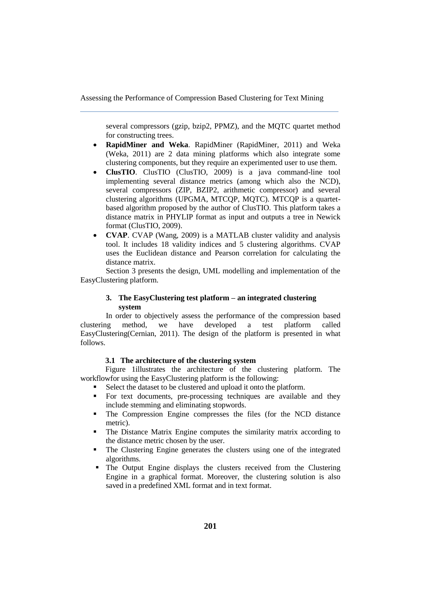several compressors (gzip, bzip2, PPMZ), and the MQTC quartet method for constructing trees.

- **RapidMiner and Weka**. RapidMiner (RapidMiner, 2011) and Weka (Weka, 2011) are 2 data mining platforms which also integrate some clustering components, but they require an experimented user to use them.
- **ClusTIO**. ClusTIO (ClusTIO, 2009) is a java command-line tool implementing several distance metrics (among which also the NCD), several compressors (ZIP, BZIP2, arithmetic compressor) and several clustering algorithms (UPGMA, MTCQP, MQTC). MTCQP is a quartetbased algorithm proposed by the author of ClusTIO. This platform takes a distance matrix in PHYLIP format as input and outputs a tree in Newick format (ClusTIO, 2009).
- **CVAP**. CVAP (Wang, 2009) is a MATLAB cluster validity and analysis tool. It includes 18 validity indices and 5 clustering algorithms. CVAP uses the Euclidean distance and Pearson correlation for calculating the distance matrix.

Section 3 presents the design, UML modelling and implementation of the EasyClustering platform.

# **3. The EasyClustering test platform – an integrated clustering system**

In order to objectively assess the performance of the compression based clustering method, we have developed a test platform called EasyClustering(Cernian, 2011). The design of the platform is presented in what follows.

## **3.1 The architecture of the clustering system**

Figure 1illustrates the architecture of the clustering platform. The workflowfor using the EasyClustering platform is the following:

- Select the dataset to be clustered and upload it onto the platform.
- For text documents, pre-processing techniques are available and they include stemming and eliminating stopwords.
- The Compression Engine compresses the files (for the NCD distance metric).
- The Distance Matrix Engine computes the similarity matrix according to the distance metric chosen by the user.
- The Clustering Engine generates the clusters using one of the integrated algorithms.
- The Output Engine displays the clusters received from the Clustering Engine in a graphical format. Moreover, the clustering solution is also saved in a predefined XML format and in text format.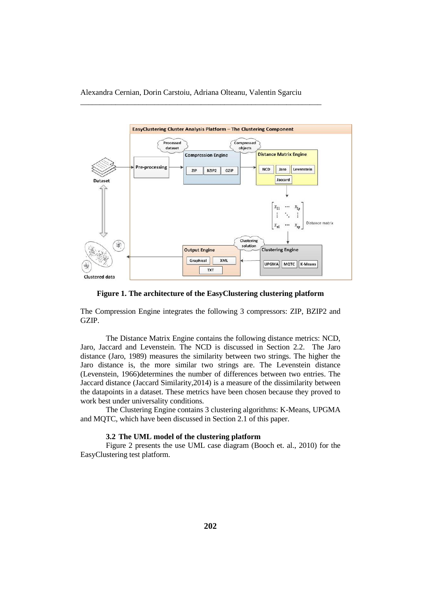\_\_\_\_\_\_\_\_\_\_\_\_\_\_\_\_\_\_\_\_\_\_\_\_\_\_\_\_\_\_\_\_\_\_\_\_\_\_\_\_\_\_\_\_\_\_\_\_\_\_\_\_\_\_\_\_\_\_\_\_\_\_



**Figure 1. The architecture of the EasyClustering clustering platform**

The Compression Engine integrates the following 3 compressors: ZIP, BZIP2 and GZIP.

The Distance Matrix Engine contains the following distance metrics: NCD, Jaro, Jaccard and Levenstein. The NCD is discussed in Section 2.2. The Jaro distance (Jaro, 1989) measures the similarity between two strings. The higher the Jaro distance is, the more similar two strings are. The Levenstein distance (Levenstein, 1966)determines the number of differences between two entries. The Jaccard distance (Jaccard Similarity,2014) is a measure of the dissimilarity between the datapoints in a dataset. These metrics have been chosen because they proved to work best under universality conditions.

The Clustering Engine contains 3 clustering algorithms: K-Means, UPGMA and MQTC, which have been discussed in Section 2.1 of this paper.

## **3.2 The UML model of the clustering platform**

Figure 2 presents the use UML case diagram (Booch et. al., 2010) for the EasyClustering test platform.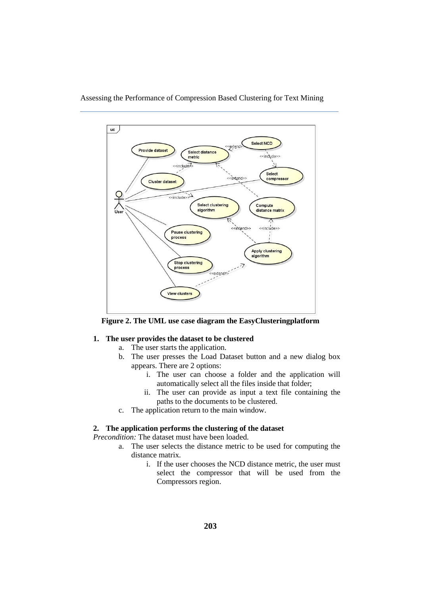

**Figure 2. The UML use case diagram the EasyClusteringplatform**

# **1. The user provides the dataset to be clustered**

- a. The user starts the application.
- b. The user presses the Load Dataset button and a new dialog box appears. There are 2 options:
	- i. The user can choose a folder and the application will automatically select all the files inside that folder;
	- ii. The user can provide as input a text file containing the paths to the documents to be clustered.
- c. The application return to the main window.

### **2. The application performs the clustering of the dataset**

*Precondition:* The dataset must have been loaded.

- a. The user selects the distance metric to be used for computing the distance matrix.
	- i. If the user chooses the NCD distance metric, the user must select the compressor that will be used from the Compressors region.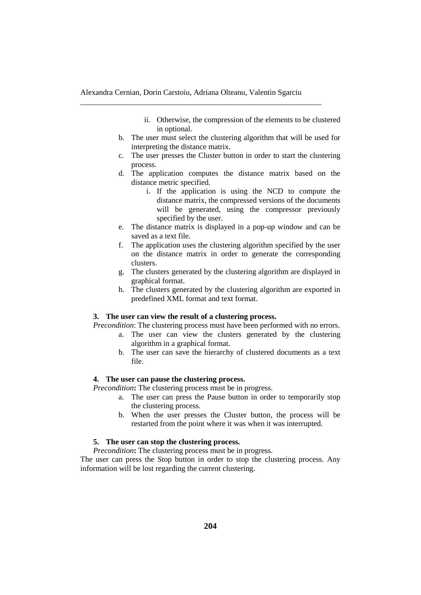\_\_\_\_\_\_\_\_\_\_\_\_\_\_\_\_\_\_\_\_\_\_\_\_\_\_\_\_\_\_\_\_\_\_\_\_\_\_\_\_\_\_\_\_\_\_\_\_\_\_\_\_\_\_\_\_\_\_\_\_\_\_

- ii. Otherwise, the compression of the elements to be clustered in optional.
- b. The user must select the clustering algorithm that will be used for interpreting the distance matrix.
- c. The user presses the Cluster button in order to start the clustering process.
- d. The application computes the distance matrix based on the distance metric specified.
	- i. If the application is using the NCD to compute the distance matrix, the compressed versions of the documents will be generated, using the compressor previously specified by the user.
- e. The distance matrix is displayed in a pop-up window and can be saved as a text file.
- f. The application uses the clustering algorithm specified by the user on the distance matrix in order to generate the corresponding clusters.
- g. The clusters generated by the clustering algorithm are displayed in graphical format.
- h. The clusters generated by the clustering algorithm are exported in predefined XML format and text format.

### **3. The user can view the result of a clustering process.**

*Precondition*: The clustering process must have been performed with no errors.

- a. The user can view the clusters generated by the clustering algorithm in a graphical format.
	- b. The user can save the hierarchy of clustered documents as a text file.

### **4. The user can pause the clustering process.**

*Precondition***:** The clustering process must be in progress.

- a. The user can press the Pause button in order to temporarily stop the clustering process.
- b. When the user presses the Cluster button, the process will be restarted from the point where it was when it was interrupted.

## **5. The user can stop the clustering process.**

*Precondition*: The clustering process must be in progress.

The user can press the Stop button in order to stop the clustering process. Any information will be lost regarding the current clustering.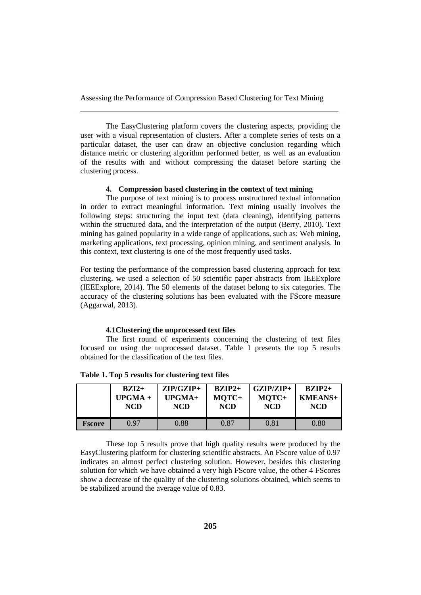The EasyClustering platform covers the clustering aspects, providing the user with a visual representation of clusters. After a complete series of tests on a particular dataset, the user can draw an objective conclusion regarding which distance metric or clustering algorithm performed better, as well as an evaluation of the results with and without compressing the dataset before starting the clustering process.

# **4. Compression based clustering in the context of text mining**

The purpose of text mining is to process unstructured textual information in order to extract meaningful information. Text mining usually involves the following steps: structuring the input text (data cleaning), identifying patterns within the structured data, and the interpretation of the output (Berry, 2010). Text mining has gained popularity in a wide range of applications, such as: Web mining, marketing applications, text processing, opinion mining, and sentiment analysis. In this context, text clustering is one of the most frequently used tasks.

For testing the performance of the compression based clustering approach for text clustering, we used a selection of 50 scientific paper abstracts from IEEExplore (IEEExplore, 2014). The 50 elements of the dataset belong to six categories. The accuracy of the clustering solutions has been evaluated with the FScore measure (Aggarwal, 2013).

#### **4.1Clustering the unprocessed text files**

The first round of experiments concerning the clustering of text files focused on using the unprocessed dataset. Table 1 presents the top 5 results obtained for the classification of the text files.

|               | $BZI2+$    | $ZIP/GZIP+$ | $BZIP2+$   | $GZIP/ZIP+$ | $BZIP2+$   |
|---------------|------------|-------------|------------|-------------|------------|
|               | $UPGMA +$  | $UPGMA+$    | MOTC+      | MOTC+       | $KMEANS+$  |
|               | <b>NCD</b> | <b>NCD</b>  | <b>NCD</b> | <b>NCD</b>  | <b>NCD</b> |
| <b>Fscore</b> | በ 97       | 0.88        | 0.87       | 0.81        | 0.80       |

**Table 1. Top 5 results for clustering text files**

These top 5 results prove that high quality results were produced by the EasyClustering platform for clustering scientific abstracts. An FScore value of 0.97 indicates an almost perfect clustering solution. However, besides this clustering solution for which we have obtained a very high FScore value, the other 4 FScores show a decrease of the quality of the clustering solutions obtained, which seems to be stabilized around the average value of 0.83.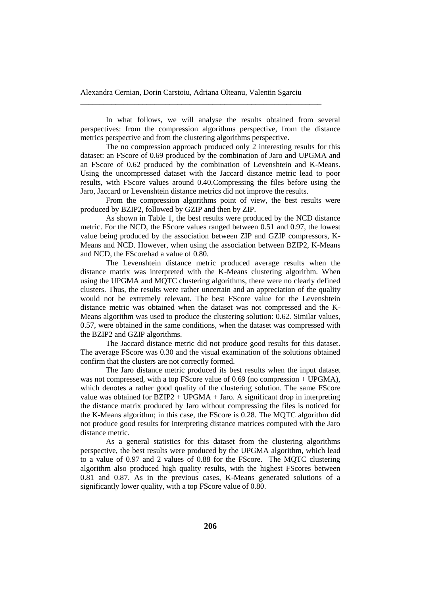\_\_\_\_\_\_\_\_\_\_\_\_\_\_\_\_\_\_\_\_\_\_\_\_\_\_\_\_\_\_\_\_\_\_\_\_\_\_\_\_\_\_\_\_\_\_\_\_\_\_\_\_\_\_\_\_\_\_\_\_\_\_

In what follows, we will analyse the results obtained from several perspectives: from the compression algorithms perspective, from the distance metrics perspective and from the clustering algorithms perspective.

The no compression approach produced only 2 interesting results for this dataset: an FScore of 0.69 produced by the combination of Jaro and UPGMA and an FScore of 0.62 produced by the combination of Levenshtein and K-Means. Using the uncompressed dataset with the Jaccard distance metric lead to poor results, with FScore values around 0.40.Compressing the files before using the Jaro, Jaccard or Levenshtein distance metrics did not improve the results.

From the compression algorithms point of view, the best results were produced by BZIP2, followed by GZIP and then by ZIP.

As shown in Table 1, the best results were produced by the NCD distance metric. For the NCD, the FScore values ranged between 0.51 and 0.97, the lowest value being produced by the association between ZIP and GZIP compressors, K-Means and NCD. However, when using the association between BZIP2, K-Means and NCD, the FScorehad a value of 0.80.

The Levenshtein distance metric produced average results when the distance matrix was interpreted with the K-Means clustering algorithm. When using the UPGMA and MQTC clustering algorithms, there were no clearly defined clusters. Thus, the results were rather uncertain and an appreciation of the quality would not be extremely relevant. The best FScore value for the Levenshtein distance metric was obtained when the dataset was not compressed and the K-Means algorithm was used to produce the clustering solution: 0.62. Similar values, 0.57, were obtained in the same conditions, when the dataset was compressed with the BZIP2 and GZIP algorithms.

The Jaccard distance metric did not produce good results for this dataset. The average FScore was 0.30 and the visual examination of the solutions obtained confirm that the clusters are not correctly formed.

The Jaro distance metric produced its best results when the input dataset was not compressed, with a top FScore value of 0.69 (no compression + UPGMA), which denotes a rather good quality of the clustering solution. The same FScore value was obtained for  $BZIP2 + UPGMA + \text{Jaro}$ . A significant drop in interpreting the distance matrix produced by Jaro without compressing the files is noticed for the K-Means algorithm; in this case, the FScore is 0.28. The MQTC algorithm did not produce good results for interpreting distance matrices computed with the Jaro distance metric.

As a general statistics for this dataset from the clustering algorithms perspective, the best results were produced by the UPGMA algorithm, which lead to a value of 0.97 and 2 values of 0.88 for the FScore. The MQTC clustering algorithm also produced high quality results, with the highest FScores between 0.81 and 0.87. As in the previous cases, K-Means generated solutions of a significantly lower quality, with a top FScore value of 0.80.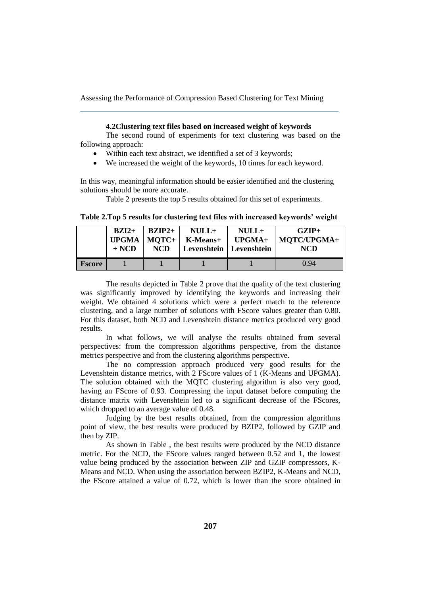#### **4.2Clustering text files based on increased weight of keywords**

The second round of experiments for text clustering was based on the following approach:

- Within each text abstract, we identified a set of 3 keywords;
- We increased the weight of the keywords, 10 times for each keyword.

In this way, meaningful information should be easier identified and the clustering solutions should be more accurate.

Table 2 presents the top 5 results obtained for this set of experiments.

|               | $BZI2+$<br>$+ NCD$ | $BZIP2+$<br>$UPGMA$   MOTC+<br><b>NCD</b> | $NULL+$<br>K-Means+ | $NULL+$<br>UPGMA+<br>Levenshtein   Levenshtein | $GZIP+$<br>  MQTC/UPGMA+<br>NCD |
|---------------|--------------------|-------------------------------------------|---------------------|------------------------------------------------|---------------------------------|
| <b>Fscore</b> |                    |                                           |                     |                                                | 0.94                            |

**Table 2.Top 5 results for clustering text files with increased keywords' weight**

The results depicted in Table 2 prove that the quality of the text clustering was significantly improved by identifying the keywords and increasing their weight. We obtained 4 solutions which were a perfect match to the reference clustering, and a large number of solutions with FScore values greater than 0.80. For this dataset, both NCD and Levenshtein distance metrics produced very good results.

In what follows, we will analyse the results obtained from several perspectives: from the compression algorithms perspective, from the distance metrics perspective and from the clustering algorithms perspective.

The no compression approach produced very good results for the Levenshtein distance metrics, with 2 FScore values of 1 (K-Means and UPGMA). The solution obtained with the MQTC clustering algorithm is also very good, having an FScore of 0.93. Compressing the input dataset before computing the distance matrix with Levenshtein led to a significant decrease of the FScores, which dropped to an average value of 0.48.

Judging by the best results obtained, from the compression algorithms point of view, the best results were produced by BZIP2, followed by GZIP and then by ZIP.

As shown in Table , the best results were produced by the NCD distance metric. For the NCD, the FScore values ranged between 0.52 and 1, the lowest value being produced by the association between ZIP and GZIP compressors, K-Means and NCD. When using the association between BZIP2, K-Means and NCD, the FScore attained a value of 0.72, which is lower than the score obtained in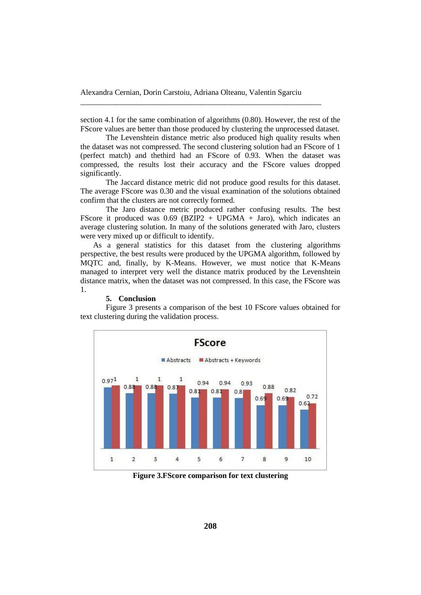\_\_\_\_\_\_\_\_\_\_\_\_\_\_\_\_\_\_\_\_\_\_\_\_\_\_\_\_\_\_\_\_\_\_\_\_\_\_\_\_\_\_\_\_\_\_\_\_\_\_\_\_\_\_\_\_\_\_\_\_\_\_

section 4.1 for the same combination of algorithms (0.80). However, the rest of the FScore values are better than those produced by clustering the unprocessed dataset.

The Levenshtein distance metric also produced high quality results when the dataset was not compressed. The second clustering solution had an FScore of 1 (perfect match) and thethird had an FScore of 0.93. When the dataset was compressed, the results lost their accuracy and the FScore values dropped significantly.

The Jaccard distance metric did not produce good results for this dataset. The average FScore was 0.30 and the visual examination of the solutions obtained confirm that the clusters are not correctly formed.

The Jaro distance metric produced rather confusing results. The best FScore it produced was 0.69 (BZIP2 + UPGMA + Jaro), which indicates an average clustering solution. In many of the solutions generated with Jaro, clusters were very mixed up or difficult to identify.

As a general statistics for this dataset from the clustering algorithms perspective, the best results were produced by the UPGMA algorithm, followed by MQTC and, finally, by K-Means. However, we must notice that K-Means managed to interpret very well the distance matrix produced by the Levenshtein distance matrix, when the dataset was not compressed. In this case, the FScore was 1.

#### **5. Conclusion**

Figure 3 presents a comparison of the best 10 FScore values obtained for text clustering during the validation process.



**Figure 3.FScore comparison for text clustering**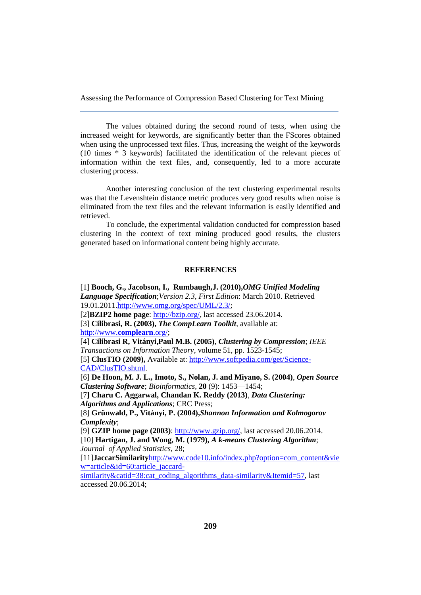The values obtained during the second round of tests, when using the increased weight for keywords, are significantly better than the FScores obtained when using the unprocessed text files. Thus, increasing the weight of the keywords (10 times \* 3 keywords) facilitated the identification of the relevant pieces of information within the text files, and, consequently, led to a more accurate clustering process.

Another interesting conclusion of the text clustering experimental results was that the Levenshtein distance metric produces very good results when noise is eliminated from the text files and the relevant information is easily identified and retrieved.

To conclude, the experimental validation conducted for compression based clustering in the context of text mining produced good results, the clusters generated based on informational content being highly accurate.

### **REFERENCES**

[1] **Booch, G., Jacobson, I., Rumbaugh,J. (2010),***OMG Unified Modeling Language Specification*;*Version 2.3, First Edition*: March 2010. Retrieved 19.01.2011[.http://www.omg.org/spec/UML/2.3/](http://www.omg.org/spec/UML/2.3/);

[2]**BZIP2 home page**[: http://bzip.org/,](http://bzip.org/) last accessed 23.06.2014.

[3] **Cilibrasi, R. (2003),** *The CompLearn Toolkit*, available at: [http://www.](http://www.complearn.org/)**complearn**.org/;

[4] **Cilibrasi R, Vitányi,Paul M.B. (2005)**, *Clustering by Compression*; *IEEE Transactions on Information Theory*, volume 51, pp. 1523-1545; [5] **ClusTIO (2009),** Available at[: http://www.softpedia.com/get/Science-](http://www.softpedia.com/get/Science-CAD/ClusTIO.shtml)[CAD/ClusTIO.shtml.](http://www.softpedia.com/get/Science-CAD/ClusTIO.shtml)

[6] **De Hoon, M. J. L., Imoto, S., Nolan, J. and Miyano, S. (2004)**, *Open Source Clustering Software*; *Bioinformatics*, **20** (9): 1453—1454;

[7**] Charu C. Aggarwal, Chandan K. Reddy (2013)**, *Data Clustering: Algorithms and Applications*; CRC Press;

[8] **Grünwald, P., Vitányi, P. (2004),***Shannon Information and Kolmogorov Complexity*;

[9] **GZIP home page (2003)**: [http://www.gzip.org/,](http://www.gzip.org/) last accessed 20.06.2014. [10] **Hartigan, J. and Wong, M. (1979),** *A k-means Clustering Algorithm*;

*Journal of Applied Statistics*, 28;

[11]**JaccarSimilarity**[http://www.code10.info/index.php?option=com\\_content&vie](http://www.code10.info/index.php?option=com_content&view=article&id=60:article_jaccard-similarity&catid=38:cat_coding_algorithms_data-similarity&Itemid=57) [w=article&id=60:article\\_jaccard-](http://www.code10.info/index.php?option=com_content&view=article&id=60:article_jaccard-similarity&catid=38:cat_coding_algorithms_data-similarity&Itemid=57)

[similarity&catid=38:cat\\_coding\\_algorithms\\_data-similarity&Itemid=57,](http://www.code10.info/index.php?option=com_content&view=article&id=60:article_jaccard-similarity&catid=38:cat_coding_algorithms_data-similarity&Itemid=57) last accessed 20.06.2014;